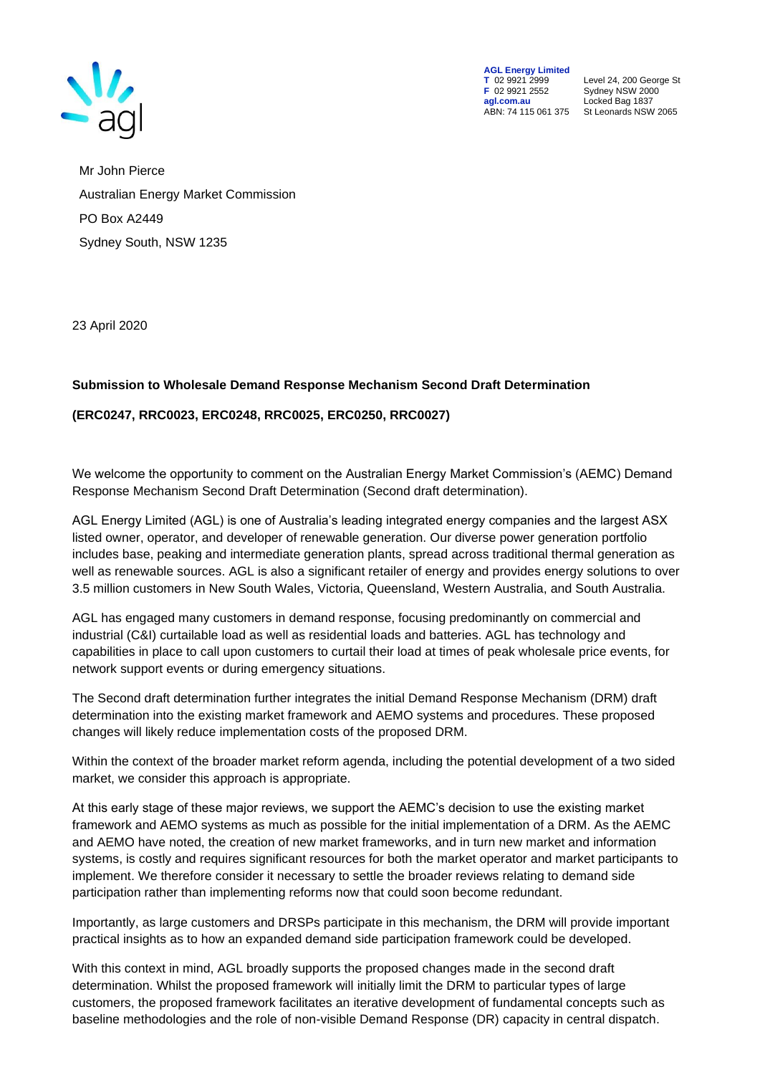

**AGL Energy Limited**<br> **T** 02 9921 2999<br> **F** 02 9921 2552 **F** 02 9921 2552 Sydney NSW 2000 ABN: 74 115 061 375

**T** 02 9921 2999 Level 24, 200 George St **agl.com.au** Locked Bag 1837<br>ABN: 74 115 061 375 St Leonards NSW 2065

Mr John Pierce Australian Energy Market Commission PO Box A2449 Sydney South, NSW 1235

23 April 2020

# **Submission to Wholesale Demand Response Mechanism Second Draft Determination**

## **(ERC0247, RRC0023, ERC0248, RRC0025, ERC0250, RRC0027)**

We welcome the opportunity to comment on the Australian Energy Market Commission's (AEMC) Demand Response Mechanism Second Draft Determination (Second draft determination).

AGL Energy Limited (AGL) is one of Australia's leading integrated energy companies and the largest ASX listed owner, operator, and developer of renewable generation. Our diverse power generation portfolio includes base, peaking and intermediate generation plants, spread across traditional thermal generation as well as renewable sources. AGL is also a significant retailer of energy and provides energy solutions to over 3.5 million customers in New South Wales, Victoria, Queensland, Western Australia, and South Australia.

AGL has engaged many customers in demand response, focusing predominantly on commercial and industrial (C&I) curtailable load as well as residential loads and batteries. AGL has technology and capabilities in place to call upon customers to curtail their load at times of peak wholesale price events, for network support events or during emergency situations.

The Second draft determination further integrates the initial Demand Response Mechanism (DRM) draft determination into the existing market framework and AEMO systems and procedures. These proposed changes will likely reduce implementation costs of the proposed DRM.

Within the context of the broader market reform agenda, including the potential development of a two sided market, we consider this approach is appropriate.

At this early stage of these major reviews, we support the AEMC's decision to use the existing market framework and AEMO systems as much as possible for the initial implementation of a DRM. As the AEMC and AEMO have noted, the creation of new market frameworks, and in turn new market and information systems, is costly and requires significant resources for both the market operator and market participants to implement. We therefore consider it necessary to settle the broader reviews relating to demand side participation rather than implementing reforms now that could soon become redundant.

Importantly, as large customers and DRSPs participate in this mechanism, the DRM will provide important practical insights as to how an expanded demand side participation framework could be developed.

With this context in mind, AGL broadly supports the proposed changes made in the second draft determination. Whilst the proposed framework will initially limit the DRM to particular types of large customers, the proposed framework facilitates an iterative development of fundamental concepts such as baseline methodologies and the role of non-visible Demand Response (DR) capacity in central dispatch.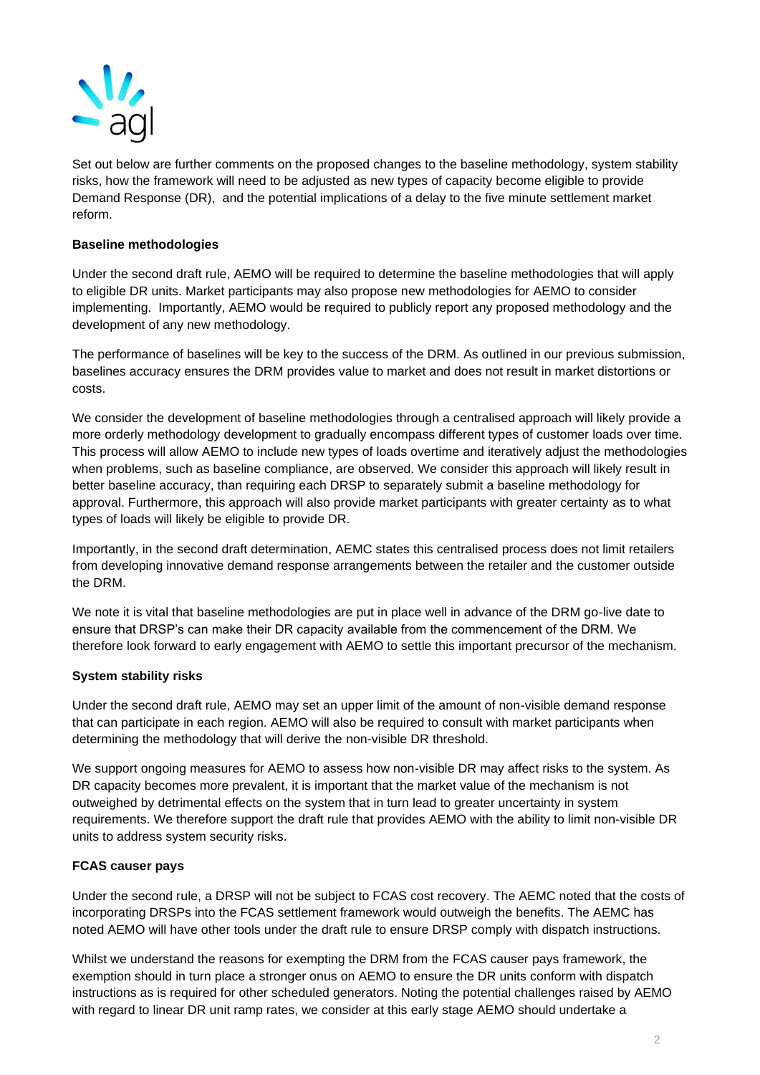

Set out below are further comments on the proposed changes to the baseline methodology, system stability risks, how the framework will need to be adjusted as new types of capacity become eligible to provide Demand Response (DR), and the potential implications of a delay to the five minute settlement market reform.

## **Baseline methodologies**

Under the second draft rule, AEMO will be required to determine the baseline methodologies that will apply to eligible DR units. Market participants may also propose new methodologies for AEMO to consider implementing. Importantly, AEMO would be required to publicly report any proposed methodology and the development of any new methodology.

The performance of baselines will be key to the success of the DRM. As outlined in our previous submission, baselines accuracy ensures the DRM provides value to market and does not result in market distortions or costs.

We consider the development of baseline methodologies through a centralised approach will likely provide a more orderly methodology development to gradually encompass different types of customer loads over time. This process will allow AEMO to include new types of loads overtime and iteratively adjust the methodologies when problems, such as baseline compliance, are observed. We consider this approach will likely result in better baseline accuracy, than requiring each DRSP to separately submit a baseline methodology for approval. Furthermore, this approach will also provide market participants with greater certainty as to what types of loads will likely be eligible to provide DR.

Importantly, in the second draft determination, AEMC states this centralised process does not limit retailers from developing innovative demand response arrangements between the retailer and the customer outside the DRM.

We note it is vital that baseline methodologies are put in place well in advance of the DRM go-live date to ensure that DRSP's can make their DR capacity available from the commencement of the DRM. We therefore look forward to early engagement with AEMO to settle this important precursor of the mechanism.

#### **System stability risks**

Under the second draft rule, AEMO may set an upper limit of the amount of non-visible demand response that can participate in each region. AEMO will also be required to consult with market participants when determining the methodology that will derive the non-visible DR threshold.

We support ongoing measures for AEMO to assess how non-visible DR may affect risks to the system. As DR capacity becomes more prevalent, it is important that the market value of the mechanism is not outweighed by detrimental effects on the system that in turn lead to greater uncertainty in system requirements. We therefore support the draft rule that provides AEMO with the ability to limit non-visible DR units to address system security risks.

#### **FCAS causer pays**

Under the second rule, a DRSP will not be subject to FCAS cost recovery. The AEMC noted that the costs of incorporating DRSPs into the FCAS settlement framework would outweigh the benefits. The AEMC has noted AEMO will have other tools under the draft rule to ensure DRSP comply with dispatch instructions.

Whilst we understand the reasons for exempting the DRM from the FCAS causer pays framework, the exemption should in turn place a stronger onus on AEMO to ensure the DR units conform with dispatch instructions as is required for other scheduled generators. Noting the potential challenges raised by AEMO with regard to linear DR unit ramp rates, we consider at this early stage AEMO should undertake a